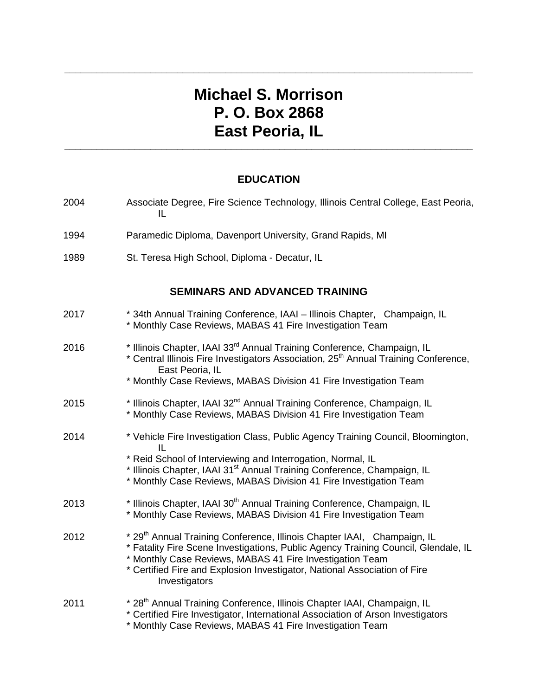# **Michael S. Morrison P. O. Box 2868 East Peoria, IL**

**\_\_\_\_\_\_\_\_\_\_\_\_\_\_\_\_\_\_\_\_\_\_\_\_\_\_\_\_\_\_\_\_\_\_\_\_\_\_\_\_\_\_\_\_\_\_\_\_\_\_\_\_\_\_\_\_\_\_\_\_\_\_\_\_\_\_\_\_\_\_\_\_\_\_\_\_**

### **EDUCATION**

**\_\_\_\_\_\_\_\_\_\_\_\_\_\_\_\_\_\_\_\_\_\_\_\_\_\_\_\_\_\_\_\_\_\_\_\_\_\_\_\_\_\_\_\_\_\_\_\_\_\_\_\_\_\_\_\_\_\_\_\_\_\_\_\_\_\_\_\_\_\_\_\_\_\_\_\_**

| 2004                                  | Associate Degree, Fire Science Technology, Illinois Central College, East Peoria,<br>IL                                                                                                                                                                                                                                             |  |  |  |
|---------------------------------------|-------------------------------------------------------------------------------------------------------------------------------------------------------------------------------------------------------------------------------------------------------------------------------------------------------------------------------------|--|--|--|
| 1994                                  | Paramedic Diploma, Davenport University, Grand Rapids, MI                                                                                                                                                                                                                                                                           |  |  |  |
| 1989                                  | St. Teresa High School, Diploma - Decatur, IL                                                                                                                                                                                                                                                                                       |  |  |  |
| <b>SEMINARS AND ADVANCED TRAINING</b> |                                                                                                                                                                                                                                                                                                                                     |  |  |  |
| 2017                                  | * 34th Annual Training Conference, IAAI - Illinois Chapter, Champaign, IL<br>* Monthly Case Reviews, MABAS 41 Fire Investigation Team                                                                                                                                                                                               |  |  |  |
| 2016                                  | * Illinois Chapter, IAAI 33rd Annual Training Conference, Champaign, IL<br>* Central Illinois Fire Investigators Association, 25 <sup>th</sup> Annual Training Conference,<br>East Peoria, IL<br>* Monthly Case Reviews, MABAS Division 41 Fire Investigation Team                                                                  |  |  |  |
| 2015                                  | * Illinois Chapter, IAAI 32 <sup>nd</sup> Annual Training Conference, Champaign, IL<br>* Monthly Case Reviews, MABAS Division 41 Fire Investigation Team                                                                                                                                                                            |  |  |  |
| 2014                                  | * Vehicle Fire Investigation Class, Public Agency Training Council, Bloomington,<br>IL<br>* Reid School of Interviewing and Interrogation, Normal, IL<br>* Illinois Chapter, IAAI 31 <sup>st</sup> Annual Training Conference, Champaign, IL                                                                                        |  |  |  |
|                                       | * Monthly Case Reviews, MABAS Division 41 Fire Investigation Team                                                                                                                                                                                                                                                                   |  |  |  |
| 2013                                  | * Illinois Chapter, IAAI 30 <sup>th</sup> Annual Training Conference, Champaign, IL<br>* Monthly Case Reviews, MABAS Division 41 Fire Investigation Team                                                                                                                                                                            |  |  |  |
| 2012                                  | * 29 <sup>th</sup> Annual Training Conference, Illinois Chapter IAAI, Champaign, IL<br>* Fatality Fire Scene Investigations, Public Agency Training Council, Glendale, IL<br>* Monthly Case Reviews, MABAS 41 Fire Investigation Team<br>* Certified Fire and Explosion Investigator, National Association of Fire<br>Investigators |  |  |  |
| 2011                                  | * 28 <sup>th</sup> Annual Training Conference, Illinois Chapter IAAI, Champaign, IL<br>* Certified Fire Investigator, International Association of Arson Investigators<br>* Monthly Case Reviews, MABAS 41 Fire Investigation Team                                                                                                  |  |  |  |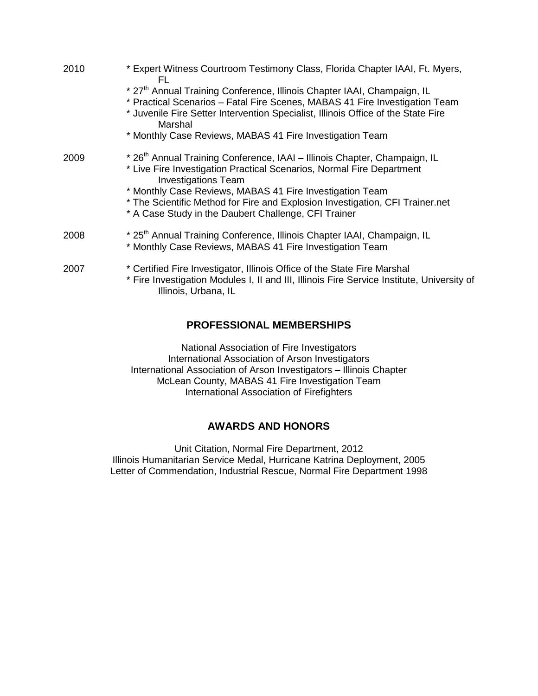| 2010 | * Expert Witness Courtroom Testimony Class, Florida Chapter IAAI, Ft. Myers,<br>FL                                                                                                                                                                                                                                                                                                                |
|------|---------------------------------------------------------------------------------------------------------------------------------------------------------------------------------------------------------------------------------------------------------------------------------------------------------------------------------------------------------------------------------------------------|
|      | * 27 <sup>th</sup> Annual Training Conference, Illinois Chapter IAAI, Champaign, IL<br>* Practical Scenarios - Fatal Fire Scenes, MABAS 41 Fire Investigation Team<br>* Juvenile Fire Setter Intervention Specialist, Illinois Office of the State Fire<br>Marshal                                                                                                                                |
|      | * Monthly Case Reviews, MABAS 41 Fire Investigation Team                                                                                                                                                                                                                                                                                                                                          |
| 2009 | * 26 <sup>th</sup> Annual Training Conference, IAAI - Illinois Chapter, Champaign, IL<br>* Live Fire Investigation Practical Scenarios, Normal Fire Department<br><b>Investigations Team</b><br>* Monthly Case Reviews, MABAS 41 Fire Investigation Team<br>* The Scientific Method for Fire and Explosion Investigation, CFI Trainer.net<br>* A Case Study in the Daubert Challenge, CFI Trainer |
| 2008 | * 25 <sup>th</sup> Annual Training Conference, Illinois Chapter IAAI, Champaign, IL<br>* Monthly Case Reviews, MABAS 41 Fire Investigation Team                                                                                                                                                                                                                                                   |
| 2007 | * Certified Fire Investigator, Illinois Office of the State Fire Marshal<br>* Fire Investigation Modules I, II and III, Illinois Fire Service Institute, University of<br>Illinois, Urbana, IL                                                                                                                                                                                                    |

#### **PROFESSIONAL MEMBERSHIPS**

National Association of Fire Investigators International Association of Arson Investigators International Association of Arson Investigators – Illinois Chapter McLean County, MABAS 41 Fire Investigation Team International Association of Firefighters

#### **AWARDS AND HONORS**

Unit Citation, Normal Fire Department, 2012 Illinois Humanitarian Service Medal, Hurricane Katrina Deployment, 2005 Letter of Commendation, Industrial Rescue, Normal Fire Department 1998